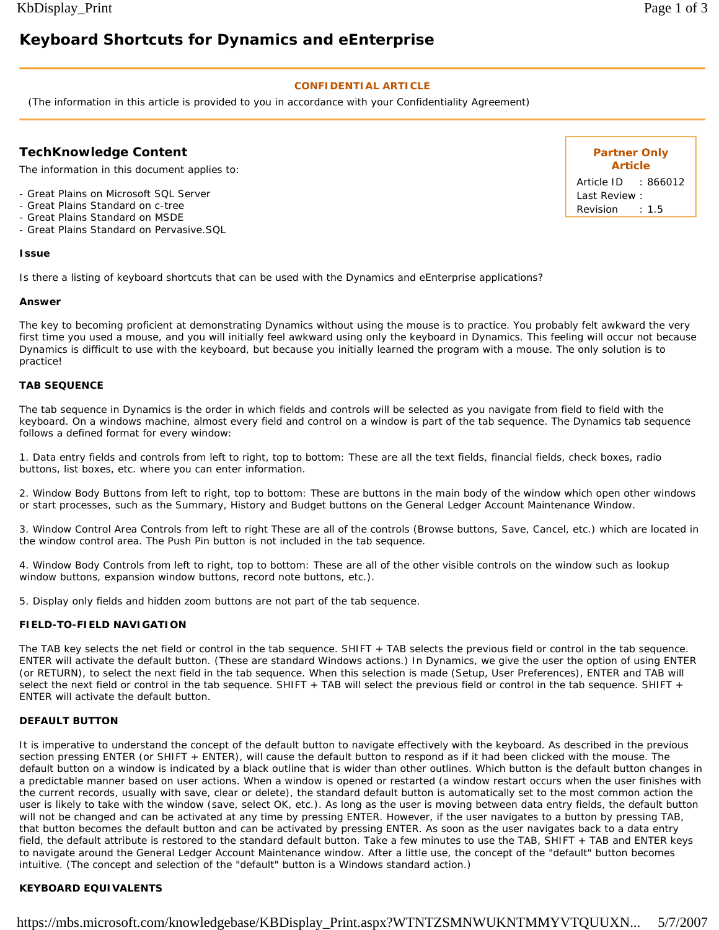# **Keyboard Shortcuts for Dynamics and eEnterprise**

## **CONFIDENTIAL ARTICLE**

(The information in this article is provided to you in accordance with your Confidentiality Agreement)

# **TechKnowledge Content**

The information in this document applies to:

- Great Plains on Microsoft SQL Server

- Great Plains Standard on c-tree
- Great Plains Standard on MSDE
- Great Plains Standard on Pervasive.SQL

#### **Issue**

Is there a listing of keyboard shortcuts that can be used with the Dynamics and eEnterprise applications?

#### **Answer**

The key to becoming proficient at demonstrating Dynamics without using the mouse is to practice. You probably felt awkward the very first time you used a mouse, and you will initially feel awkward using only the keyboard in Dynamics. This feeling will occur not because Dynamics is difficult to use with the keyboard, but because you initially learned the program with a mouse. The only solution is to practice!

## **TAB SEQUENCE**

The tab sequence in Dynamics is the order in which fields and controls will be selected as you navigate from field to field with the keyboard. On a windows machine, almost every field and control on a window is part of the tab sequence. The Dynamics tab sequence follows a defined format for every window:

1. Data entry fields and controls from left to right, top to bottom: These are all the text fields, financial fields, check boxes, radio buttons, list boxes, etc. where you can enter information.

2. Window Body Buttons from left to right, top to bottom: These are buttons in the main body of the window which open other windows or start processes, such as the Summary, History and Budget buttons on the General Ledger Account Maintenance Window.

3. Window Control Area Controls from left to right These are all of the controls (Browse buttons, Save, Cancel, etc.) which are located in the window control area. The Push Pin button is not included in the tab sequence.

4. Window Body Controls from left to right, top to bottom: These are all of the other visible controls on the window such as lookup window buttons, expansion window buttons, record note buttons, etc.).

5. Display only fields and hidden zoom buttons are not part of the tab sequence.

#### **FIELD-TO-FIELD NAVIGATION**

The TAB key selects the net field or control in the tab sequence. SHIFT + TAB selects the previous field or control in the tab sequence. ENTER will activate the default button. (These are standard Windows actions.) In Dynamics, we give the user the option of using ENTER (or RETURN), to select the next field in the tab sequence. When this selection is made (Setup, User Preferences), ENTER and TAB will select the next field or control in the tab sequence. SHIFT + TAB will select the previous field or control in the tab sequence. SHIFT + ENTER will activate the default button.

#### **DEFAULT BUTTON**

It is imperative to understand the concept of the default button to navigate effectively with the keyboard. As described in the previous section pressing ENTER (or SHIFT + ENTER), will cause the default button to respond as if it had been clicked with the mouse. The default button on a window is indicated by a black outline that is wider than other outlines. Which button is the default button changes in a predictable manner based on user actions. When a window is opened or restarted (a window restart occurs when the user finishes with the current records, usually with save, clear or delete), the standard default button is automatically set to the most common action the user is likely to take with the window (save, select OK, etc.). As long as the user is moving between data entry fields, the default button will not be changed and can be activated at any time by pressing ENTER. However, if the user navigates to a button by pressing TAB, that button becomes the default button and can be activated by pressing ENTER. As soon as the user navigates back to a data entry field, the default attribute is restored to the standard default button. Take a few minutes to use the TAB, SHIFT + TAB and ENTER keys to navigate around the General Ledger Account Maintenance window. After a little use, the concept of the "default" button becomes intuitive. (The concept and selection of the "default" button is a Windows standard action.)

## **KEYBOARD EQUIVALENTS**

**Partner Only Article** Article ID : 866012 Last Review : Revision : 1.5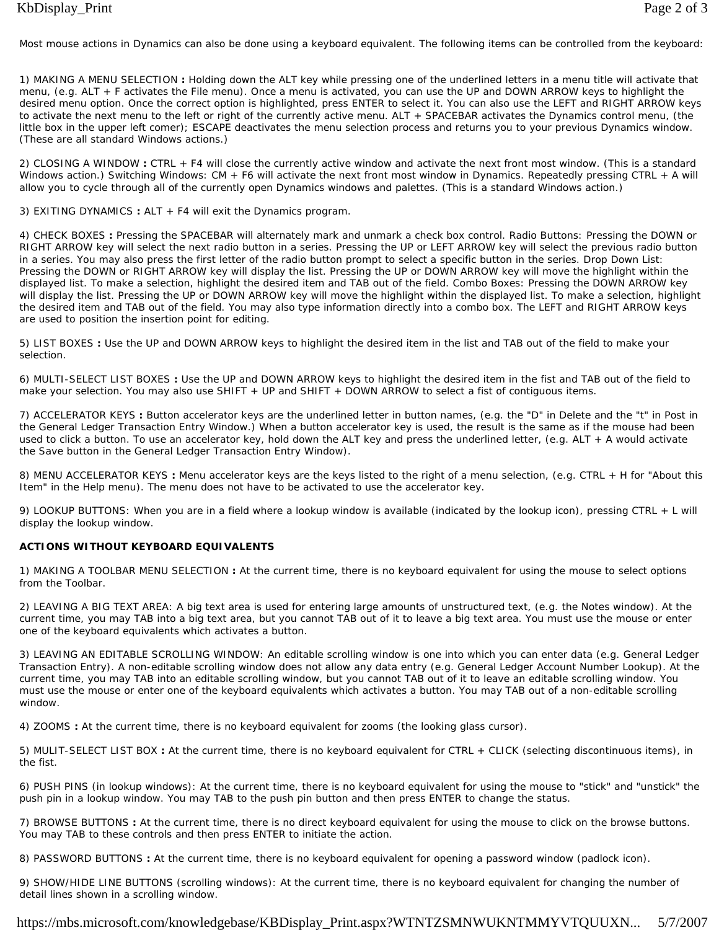Most mouse actions in Dynamics can also be done using a keyboard equivalent. The following items can be controlled from the keyboard:

1) MAKING A MENU SELECTION **:** Holding down the ALT key while pressing one of the underlined letters in a menu title will activate that menu, (e.g. ALT + F activates the File menu). Once a menu is activated, you can use the UP and DOWN ARROW keys to highlight the desired menu option. Once the correct option is highlighted, press ENTER to select it. You can also use the LEFT and RIGHT ARROW keys to activate the next menu to the left or right of the currently active menu. ALT + SPACEBAR activates the Dynamics control menu, (the little box in the upper left comer); ESCAPE deactivates the menu selection process and returns you to your previous Dynamics window. (These are all standard Windows actions.)

2) CLOSING A WINDOW **:** CTRL + F4 will close the currently active window and activate the next front most window. (This is a standard Windows action.) Switching Windows: CM + F6 will activate the next front most window in Dynamics. Repeatedly pressing CTRL + A will allow you to cycle through all of the currently open Dynamics windows and palettes. (This is a standard Windows action.)

3) EXITING DYNAMICS **:** ALT + F4 will exit the Dynamics program.

4) CHECK BOXES **:** Pressing the SPACEBAR will alternately mark and unmark a check box control. Radio Buttons: Pressing the DOWN or RIGHT ARROW key will select the next radio button in a series. Pressing the UP or LEFT ARROW key will select the previous radio button in a series. You may also press the first letter of the radio button prompt to select a specific button in the series. Drop Down List: Pressing the DOWN or RIGHT ARROW key will display the list. Pressing the UP or DOWN ARROW key will move the highlight within the displayed list. To make a selection, highlight the desired item and TAB out of the field. Combo Boxes: Pressing the DOWN ARROW key will display the list. Pressing the UP or DOWN ARROW key will move the highlight within the displayed list. To make a selection, highlight the desired item and TAB out of the field. You may also type information directly into a combo box. The LEFT and RIGHT ARROW keys are used to position the insertion point for editing.

5) LIST BOXES **:** Use the UP and DOWN ARROW keys to highlight the desired item in the list and TAB out of the field to make your selection.

6) MULTI-SELECT LIST BOXES **:** Use the UP and DOWN ARROW keys to highlight the desired item in the fist and TAB out of the field to make your selection. You may also use SHIFT + UP and SHIFT + DOWN ARROW to select a fist of contiguous items.

7) ACCELERATOR KEYS **:** Button accelerator keys are the underlined letter in button names, (e.g. the "D" in Delete and the "t" in Post in the General Ledger Transaction Entry Window.) When a button accelerator key is used, the result is the same as if the mouse had been used to click a button. To use an accelerator key, hold down the ALT key and press the underlined letter, (e.g. ALT + A would activate the Save button in the General Ledger Transaction Entry Window).

8) MENU ACCELERATOR KEYS **:** Menu accelerator keys are the keys listed to the right of a menu selection, (e.g. CTRL + H for "About this Item" in the Help menu). The menu does not have to be activated to use the accelerator key.

9) LOOKUP BUTTONS: When you are in a field where a lookup window is available (indicated by the lookup icon), pressing CTRL + L will display the lookup window.

## **ACTIONS WITHOUT KEYBOARD EQUIVALENTS**

1) MAKING A TOOLBAR MENU SELECTION **:** At the current time, there is no keyboard equivalent for using the mouse to select options from the Toolbar.

2) LEAVING A BIG TEXT AREA: A big text area is used for entering large amounts of unstructured text, (e.g. the Notes window). At the current time, you may TAB into a big text area, but you cannot TAB out of it to leave a big text area. You must use the mouse or enter one of the keyboard equivalents which activates a button.

3) LEAVING AN EDITABLE SCROLLING WINDOW: An editable scrolling window is one into which you can enter data (e.g. General Ledger Transaction Entry). A non-editable scrolling window does not allow any data entry (e.g. General Ledger Account Number Lookup). At the current time, you may TAB into an editable scrolling window, but you cannot TAB out of it to leave an editable scrolling window. You must use the mouse or enter one of the keyboard equivalents which activates a button. You may TAB out of a non-editable scrolling window.

4) ZOOMS **:** At the current time, there is no keyboard equivalent for zooms (the looking glass cursor).

5) MULIT-SELECT LIST BOX **:** At the current time, there is no keyboard equivalent for CTRL + CLICK (selecting discontinuous items), in the fist.

6) PUSH PINS (in lookup windows): At the current time, there is no keyboard equivalent for using the mouse to "stick" and "unstick" the push pin in a lookup window. You may TAB to the push pin button and then press ENTER to change the status.

7) BROWSE BUTTONS **:** At the current time, there is no direct keyboard equivalent for using the mouse to click on the browse buttons. You may TAB to these controls and then press ENTER to initiate the action.

8) PASSWORD BUTTONS **:** At the current time, there is no keyboard equivalent for opening a password window (padlock icon).

9) SHOW/HIDE LINE BUTTONS (scrolling windows): At the current time, there is no keyboard equivalent for changing the number of detail lines shown in a scrolling window.

https://mbs.microsoft.com/knowledgebase/KBDisplay\_Print.aspx?WTNTZSMNWUKNTMMYVTQUUXN... 5/7/2007